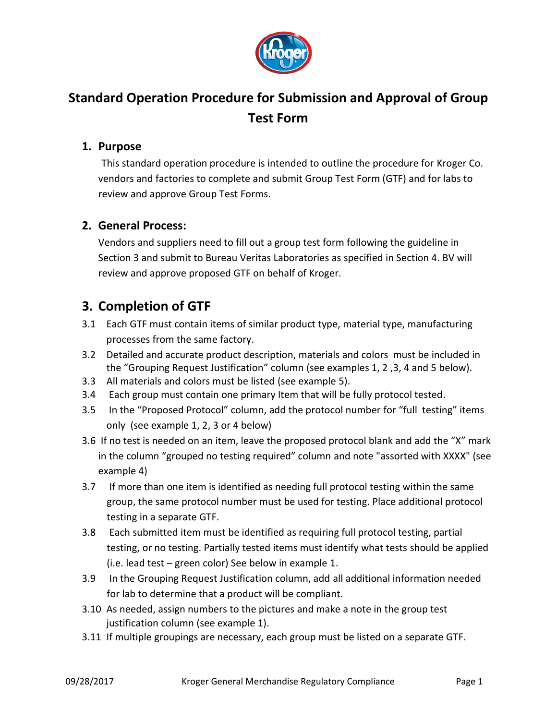

# **Standard Operation Procedure for Submission and Approval of Group Test Form**

#### **1. Purpose**

This standard operation procedure is intended to outline the procedure for Kroger Co. vendors and factories to complete and submit Group Test Form (GTF) and for labs to review and approve Group Test Forms.

#### **2. General Process:**

Vendors and suppliers need to fill out a group test form following the guideline in Section 3 and submit to Bureau Veritas Laboratories as specified in Section 4. BV will review and approve proposed GTF on behalf of Kroger.

## **3. Completion of GTF**

- 3.1 Each GTF must contain items of similar product type, material type, manufacturing processes from the same factory.
- 3.2 Detailed and accurate product description, materials and colors must be included in the "Grouping Request Justification" column (see examples 1, 2 ,3, 4 and 5 below).
- 3.3 All materials and colors must be listed (see example 5).
- 3.4 Each group must contain one primary Item that will be fully protocol tested.
- 3.5 In the "Proposed Protocol" column, add the protocol number for "full testing" items only (see example 1, 2, 3 or 4 below)
- 3.6 If no test is needed on an item, leave the proposed protocol blank and add the "X" mark in the column "grouped no testing required" column and note "assorted with XXXX" (see example 4)
- 3.7 If more than one item is identified as needing full protocol testing within the same group, the same protocol number must be used for testing. Place additional protocol testing in a separate GTF.
- 3.8 Each submitted item must be identified as requiring full protocol testing, partial testing, or no testing. Partially tested items must identify what tests should be applied (i.e. lead test – green color) See below in example 1.
- 3.9 In the Grouping Request Justification column, add all additional information needed for lab to determine that a product will be compliant.
- 3.10 As needed, assign numbers to the pictures and make a note in the group test justification column (see example 1).
- 3.11 If multiple groupings are necessary, each group must be listed on a separate GTF.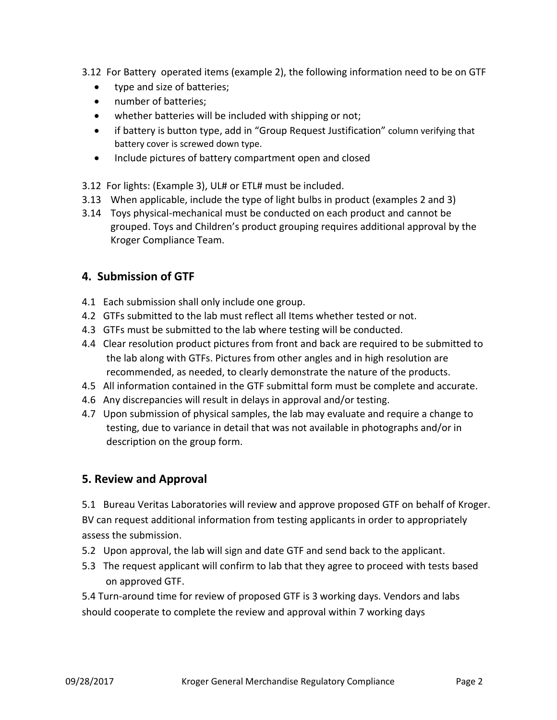- 3.12 For Battery operated items (example 2), the following information need to be on GTF
	- type and size of batteries;
	- number of batteries:
	- whether batteries will be included with shipping or not;
	- if battery is button type, add in "Group Request Justification" column verifying that battery cover is screwed down type.
	- Include pictures of battery compartment open and closed
- 3.12 For lights: (Example 3), UL# or ETL# must be included.
- 3.13 When applicable, include the type of light bulbs in product (examples 2 and 3)
- 3.14 Toys physical-mechanical must be conducted on each product and cannot be grouped. Toys and Children's product grouping requires additional approval by the Kroger Compliance Team.

## **4. Submission of GTF**

- 4.1 Each submission shall only include one group.
- 4.2 GTFs submitted to the lab must reflect all Items whether tested or not.
- 4.3 GTFs must be submitted to the lab where testing will be conducted.
- 4.4 Clear resolution product pictures from front and back are required to be submitted to the lab along with GTFs. Pictures from other angles and in high resolution are recommended, as needed, to clearly demonstrate the nature of the products.
- 4.5 All information contained in the GTF submittal form must be complete and accurate.
- 4.6 Any discrepancies will result in delays in approval and/or testing.
- 4.7 Upon submission of physical samples, the lab may evaluate and require a change to testing, due to variance in detail that was not available in photographs and/or in description on the group form.

## **5. Review and Approval**

5.1 Bureau Veritas Laboratories will review and approve proposed GTF on behalf of Kroger. BV can request additional information from testing applicants in order to appropriately assess the submission.

- 5.2 Upon approval, the lab will sign and date GTF and send back to the applicant.
- 5.3 The request applicant will confirm to lab that they agree to proceed with tests based on approved GTF.

5.4 Turn-around time for review of proposed GTF is 3 working days. Vendors and labs should cooperate to complete the review and approval within 7 working days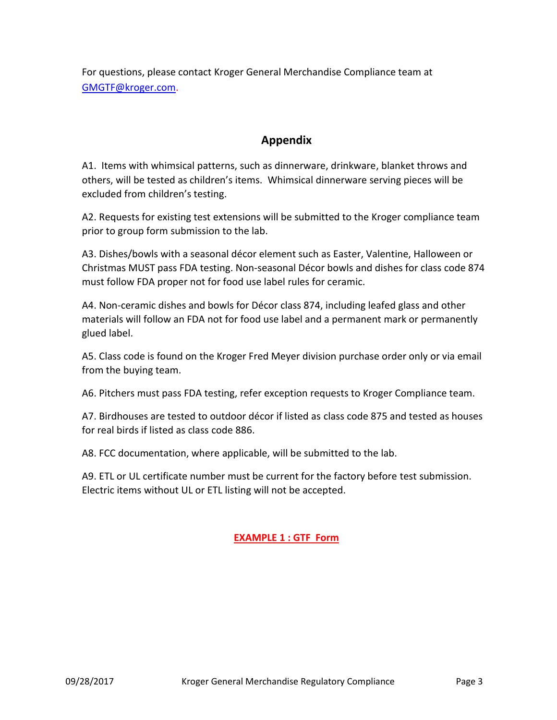For questions, please contact Kroger General Merchandise Compliance team at [GMGTF@kroger.com.](mailto:GMGTF@kroger.com)

#### **Appendix**

A1. Items with whimsical patterns, such as dinnerware, drinkware, blanket throws and others, will be tested as children's items. Whimsical dinnerware serving pieces will be excluded from children's testing.

A2. Requests for existing test extensions will be submitted to the Kroger compliance team prior to group form submission to the lab.

A3. Dishes/bowls with a seasonal décor element such as Easter, Valentine, Halloween or Christmas MUST pass FDA testing. Non-seasonal Décor bowls and dishes for class code 874 must follow FDA proper not for food use label rules for ceramic.

A4. Non-ceramic dishes and bowls for Décor class 874, including leafed glass and other materials will follow an FDA not for food use label and a permanent mark or permanently glued label.

A5. Class code is found on the Kroger Fred Meyer division purchase order only or via email from the buying team.

A6. Pitchers must pass FDA testing, refer exception requests to Kroger Compliance team.

A7. Birdhouses are tested to outdoor décor if listed as class code 875 and tested as houses for real birds if listed as class code 886.

A8. FCC documentation, where applicable, will be submitted to the lab.

A9. ETL or UL certificate number must be current for the factory before test submission. Electric items without UL or ETL listing will not be accepted.

#### **EXAMPLE 1 : GTF Form**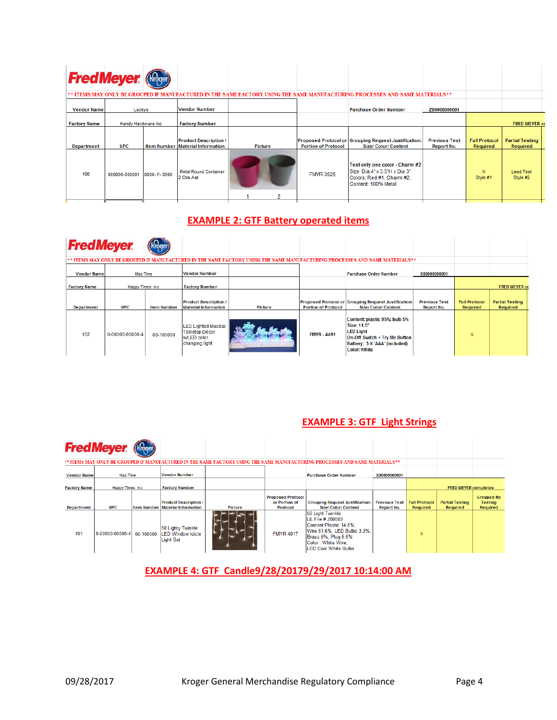| <b>Fred Meyer (Ringer)</b> |                            |                                                                         |                |                            |                                                                                                                              |                                    |                                  |                                    |
|----------------------------|----------------------------|-------------------------------------------------------------------------|----------------|----------------------------|------------------------------------------------------------------------------------------------------------------------------|------------------------------------|----------------------------------|------------------------------------|
|                            |                            |                                                                         |                |                            | ** ITEMS MAY ONLY BE GROUPED IF MANUFACTURED IN THE SAME FACTORY USING THE SAME MANUFACTURING PROCESSES AND SAME MATERIALS** |                                    |                                  |                                    |
| <b>Vendor Name</b>         | Luckys                     | <b>Vendor Number</b>                                                    |                |                            | <b>Purchase Order Number</b>                                                                                                 | Z00000000001                       |                                  |                                    |
| <b>Factory Name</b>        | Handy Hardware Inc         | <b>Factory Number</b>                                                   |                |                            |                                                                                                                              |                                    |                                  | <b>FRED MEYER co</b>               |
| Department                 | <b>UPC</b>                 | <b>Product Description /</b><br><b>Item Number Material Information</b> | <b>Picture</b> | <b>Portion of Protocol</b> | Proposed Protocol or Grouping Request Justification:<br><b>Size/ Color/ Content</b>                                          | <b>Previous Test</b><br>Report No. | <b>Full Protocol</b><br>Required | <b>Partial Testing</b><br>Required |
| 100                        | 000000-000001 0000- F-0000 | <b>Metal Round Container</b><br>2 Cirs Ast                              |                | <b>FMYR 3525</b>           | Test only one color - Charm #2<br>Size: Dia.4" x 3.5"H x Dia 3"<br>Colors: Red #1, Charm #2,<br>Content: 100% Metal          |                                    | X.<br>Style #1                   | <b>Lead Test</b><br>Style #2       |
|                            |                            |                                                                         |                |                            |                                                                                                                              |                                    |                                  |                                    |

## **EXAMPLE 2: GTF Battery operated items**

| <b>FredMeyer</b>    |                         |                    |                                                                                      |                                                                                                                              |                            |                                                                                                                                                           |                                           |                                  |                                    |
|---------------------|-------------------------|--------------------|--------------------------------------------------------------------------------------|------------------------------------------------------------------------------------------------------------------------------|----------------------------|-----------------------------------------------------------------------------------------------------------------------------------------------------------|-------------------------------------------|----------------------------------|------------------------------------|
|                     |                         |                    |                                                                                      | ** ITEMS MAY ONLY BE GROUPED IF MANUFACTURED IN THE SAME FACTORY USING THE SAME MANUFACTURING PROCESSES AND SAME MATERIALS** |                            |                                                                                                                                                           |                                           |                                  |                                    |
| <b>Vendor Name</b>  | <b>Max Time</b>         |                    | <b>Vendor Number</b>                                                                 |                                                                                                                              |                            | <b>Purchase Order Number</b>                                                                                                                              | X00000000001                              |                                  |                                    |
| <b>Factory Name</b> | <b>Happy Times Inc.</b> |                    | <b>Factory Number</b>                                                                |                                                                                                                              |                            |                                                                                                                                                           |                                           |                                  | <b>FRED MEYER CO</b>               |
| <b>Department</b>   | <b>UPC</b>              | <b>Item Number</b> | <b>Product Description /</b><br><b>Material Information</b>                          | Picture                                                                                                                      | <b>Portion of Protocol</b> | Proposed Protocol or Grouping Request Justification:<br><b>Size/ Color/ Content</b>                                                                       | <b>Previous Test</b><br><b>Report No.</b> | <b>Full Protocol</b><br>Required | <b>Partial Testing</b><br>Required |
| 102                 | 0-00000-00000-4         | 00-100000          | <b>LED Lighted Musical</b><br><b>Tabletop Décor</b><br>w/LED color<br>changing light |                                                                                                                              | <b>FMYR - 4491</b>         | Content: plastic 95%; bulb 5%<br>Size: 11.5"<br><b>LED Light</b><br>On-Off Switch + Try Me Button<br>Battery: 3 X 'AAA' (included)<br><b>Color: White</b> |                                           | $\mathsf{x}$                     |                                    |

#### **EXAMPLE 3: GTF Light Strings**

|                     | <b>Fred Meyer.</b> (Rroger) |                                                                         |         |                                                              |                                                                                                                                                                      |                                           |                                         |                                    |                                                        |
|---------------------|-----------------------------|-------------------------------------------------------------------------|---------|--------------------------------------------------------------|----------------------------------------------------------------------------------------------------------------------------------------------------------------------|-------------------------------------------|-----------------------------------------|------------------------------------|--------------------------------------------------------|
|                     |                             |                                                                         |         |                                                              | ** ITEMS MAY ONLY BE GROUPED IF MANUFACTURED IN THE SAME FACTORY USING THE SAME MANUFACTURING PROCESSES AND SAME MATERIALS**                                         |                                           |                                         |                                    |                                                        |
| <b>Vendor Name</b>  | Max Time                    | <b>Vendor Number</b>                                                    |         |                                                              | <b>Purchase Order Number</b>                                                                                                                                         | X00000000001                              |                                         |                                    |                                                        |
| <b>Factory Name</b> | <b>Happy Times Inc.</b>     | <b>Factory Number</b>                                                   |         |                                                              |                                                                                                                                                                      |                                           |                                         | <b>FRED MEYER completes</b>        |                                                        |
| <b>Department</b>   | <b>UPC</b>                  | <b>Product Description /</b><br><b>Item Number Material Information</b> | Picture | <b>Proposed Protocol</b><br>or Portion of<br><b>Protocol</b> | <b>Grouping Request Justification:</b><br><b>Size/Color/Content</b>                                                                                                  | <b>Previous Test</b><br><b>Report No.</b> | <b>Full Protocol</b><br><b>Required</b> | <b>Partial Testing</b><br>Required | <b>Grouped-No</b><br><b>Testing</b><br><b>Required</b> |
| 101                 | 0-00000-00000-4 00-100000   | 50 Lighty Twinkle<br><b>LED Window Icicle</b><br><b>Light Set</b>       |         | <b>FMYR 4017</b>                                             | 50 Light Twinkle<br>UL File # 200003<br>Content: Plastic 14.5%:<br>Wire 61.6%, LED Bulbs 3.3%,<br>Brass 5%, Plug 5.6%<br>Color : White Wire:<br>LED Cool White Bulbs |                                           | $\mathbf x$                             |                                    |                                                        |

#### **EXAMPLE 4: GTF Candle9/28/20179/29/2017 10:14:00 AM**